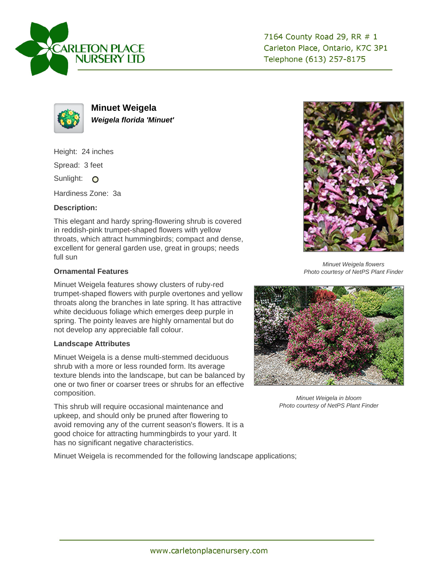

7164 County Road 29, RR # 1 Carleton Place, Ontario, K7C 3P1 Telephone (613) 257-8175



**Minuet Weigela Weigela florida 'Minuet'**

Height: 24 inches Spread: 3 feet Sunlight: O Hardiness Zone: 3a

## **Description:**

This elegant and hardy spring-flowering shrub is covered in reddish-pink trumpet-shaped flowers with yellow throats, which attract hummingbirds; compact and dense, excellent for general garden use, great in groups; needs full sun

## **Ornamental Features**

Minuet Weigela features showy clusters of ruby-red trumpet-shaped flowers with purple overtones and yellow throats along the branches in late spring. It has attractive white deciduous foliage which emerges deep purple in spring. The pointy leaves are highly ornamental but do not develop any appreciable fall colour.

## **Landscape Attributes**

Minuet Weigela is a dense multi-stemmed deciduous shrub with a more or less rounded form. Its average texture blends into the landscape, but can be balanced by one or two finer or coarser trees or shrubs for an effective composition.

This shrub will require occasional maintenance and upkeep, and should only be pruned after flowering to avoid removing any of the current season's flowers. It is a good choice for attracting hummingbirds to your yard. It has no significant negative characteristics.

Minuet Weigela is recommended for the following landscape applications;



Minuet Weigela flowers Photo courtesy of NetPS Plant Finder



Minuet Weigela in bloom Photo courtesy of NetPS Plant Finder